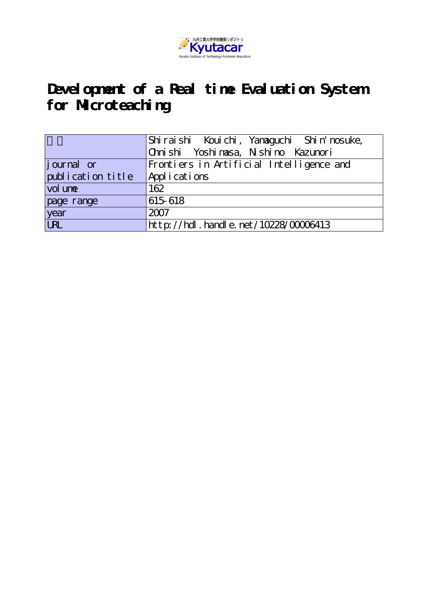

# **Development of a Real time Evaluation System for Microteaching**

|                   | Shiraishi Kouichi, Yanaguchi Shin'nosuke, |
|-------------------|-------------------------------------------|
|                   | Ohnishi Yoshinasa, Nishino Kazunori       |
| journal or        | Frontiers in Artificial Intelligence and  |
| publication title | Applications                              |
| vol une           | 162                                       |
| page range        | 615 618                                   |
| year              | 2007                                      |
| URL               | http://hdl.handle.net/10228/00006413      |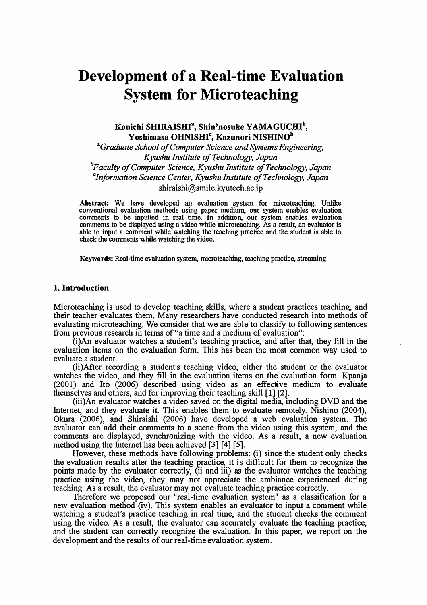## Development of a Real-time Evaluation System for Microteaching

### **Kouichi SHIRAISHI", Shin'nosuke YAMAGUCID\ Y oshimasa OHNism<sup>&</sup>lt; , Kazunori NISH町o<sup>b</sup>**

<sup>a</sup>Graduate School of Computer Science and Systems Engineering, *Kyushu Institute of Technology, Japan*  **Fα***cul,***砂** *ofComputer Science, K戸shu Institute of Technology, Japan <sup>0</sup>Information Science Center, Kyushu Institute of Technology, Japan* shiraishi@smile.kyutech.ac.jp

Abstract: We have developed an evaluation system for microteaching. Unlike **conventional evaluation methods using paper medium, our system enables evaluation conventions comments** to be inputted in real time. In addition, our system enables evaluation  $\frac{1}{2}$ **comments to be displayed using a video while microteaching. As a result, an evaluator is**  $\frac{1}{2}$ able to input a comment while watching the teaching practice and the student is able to  $\frac{1}{2}$ **check the comments** 

**Keywords:** Real-time evaluation system, microteaching, teaching practice, streaming

#### **I. Introduction**

**Microteaching is used to develop teaching skills, where a student practices teaching, and their teacher evaluates them. Many researchers have conducted research into methods of**  evaluating microteaching. We consider that we are able to classify to following sentences from previous research in terms of "a time and a medium of evaluation":

(i)An evaluator watches a student's teaching practice, and after that, they fill in the evaluation items on the evaluation form. This has been the most common way used to **evaluate a student.** 

**(ii)After recording a student's teaching video, either the** 如**dent or the evaluator** watches the video, and they fill in the evaluation items on the evaluation form. Kpanja (2001) and Ito (2006) described using video as an effective medium to evaluate themselves and others, and for improving their teaching skill [1] [2].

。**ii)An evaluator watches a video saved on the digital media, including DVD and the**  Internet, and they evaluate it. This enables them to evaluate remotely. Nishino (2004), **Okura (2006), and �hiraishi (2006) have developed 品 web evalu車tion system. The evaluator can add their comments to a scene from the video using this system, and the comments are displayed, synchronizing with the video. As a result, a new evaluation**  method using the Internet has been achieved [3] [4] [5].

**However, these methods have following problems: (i) since the student only checks**  the evaluation results after the teaching practice, it is difficult for them to recognize the points made by the evaluator correctly, (ii and iii) as the evaluator watches the teaching **practice using the video, they may not appreciate the ambiance experienced during teaching. As a result, the evaluator may not evaluate teaching practice correctly.** 

**Therefore we proposed our** " **real-time evaluation system**" **as a classification for a new evaluation method (iv). This system enables an evaluator to input a comment while**  watching a student's practice teaching in real time, and the student checks the comment using the video. As a result, the evaluator can accurately evaluate the teaching practice, **and the student can correctly recognize the evaluation. In this paper, we report on the development and the results of our real-time evaluation system.**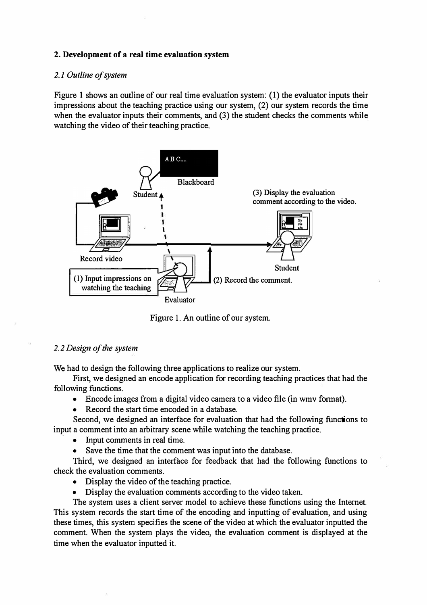#### **2. Development of a real time evaluation system**

#### *2.1 Outline of system*

**Figure 1 shows an outline of our real time evaluation system: (1) the evaluator inputs their impressions about the teaching practice using our system, (2) our system records the time**  when the evaluator inputs their comments, and (3) the student checks the comments while **watching the video of their teaching practice.** 



**Figure I. An outline of our system.** 

#### *2.2 Design of the system*

We had to design the following three applications to realize our system.

**First, we designed an encode application for recording teaching practices that had the**  following functions.

- **• Encode images from a digital video camera to a video file (in wmv format).**
- **• Record the start time encoded in a database.**

**Second, we designed an interface for evaluation that had the following functions to input a comment into an arbitrary scene while watching the teaching practice.** 

- **• Input comments in real time.**
- Save the time that the comment was input into the database.

**Third, we designed an interface for feedback that had the following functions to check the evaluation comments.** 

- **• Display the video of the teaching practice.**
- **• Display the evaluation comments according to the video taken.**

**The system uses a client server model to achieve these functions using the Internet. This system records the start time of the encoding and inputting of evaluation, and using**  these times, this system specifies the scene of the video at which the evaluator inputted the **comment. When the system plays the video, the evaluation comment is displayed at the time when the evaluator inputted it.**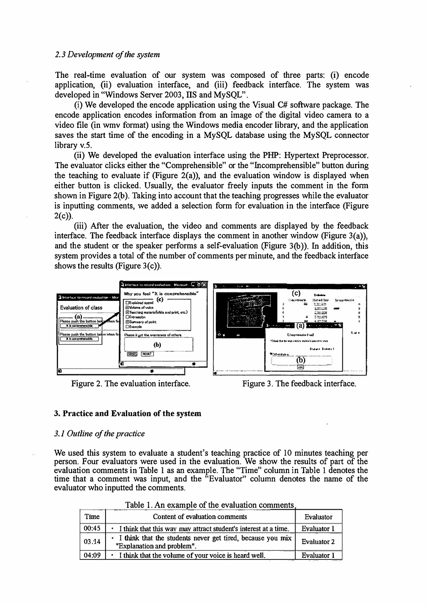#### 2.3 Development of the system

The real-time evaluation of our system was composed of three parts: (i) encode application, (ii) evaluation interface, and (iii) feedback interface. The system was developed in "Windows Server 2003. IIS and MySOL".

(i) We developed the encode application using the Visual C# software package. The encode application encodes information from an image of the digital video camera to a video file (in wmy format) using the Windows media encoder library, and the application saves the start time of the encoding in a MySQL database using the MySQL connector library v.5.

(ii) We developed the evaluation interface using the PHP: Hypertext Preprocessor. The evaluator clicks either the "Comprehensible" or the "Incomprehensible" button during the teaching to evaluate if (Figure  $2(a)$ ), and the evaluation window is displayed when either button is clicked. Usually, the evaluator freely inputs the comment in the form shown in Figure 2(b). Taking into account that the teaching progresses while the evaluator is inputting comments, we added a selection form for evaluation in the interface (Figure  $2(c)$ ).

(iii) After the evaluation, the video and comments are displayed by the feedback interface. The feedback interface displays the comment in another window (Figure 3(a)). and the student or the speaker performs a self-evaluation (Figure 3(b)). In addition, this system provides a total of the number of comments per minute, and the feedback interface shows the results (Figure  $3(c)$ ).



Figure 2. The evaluation interface.

Figure 3. The feedback interface.

#### 3. Practice and Evaluation of the system

#### 3.1 Outline of the practice

We used this system to evaluate a student's teaching practice of 10 minutes teaching per person. Four evaluators were used in the evaluation. We show the results of part of the evaluation comments in Table 1 as an example. The "Time" column in Table 1 denotes the time that a comment was input, and the "Evaluator" column denotes the name of the evaluator who inputted the comments.

| Time  | Content of evaluation comments                                                           | Evaluator   |
|-------|------------------------------------------------------------------------------------------|-------------|
| 00:45 | • I think that this way may attract student's interest at a time.                        | Evaluator 1 |
| 03.14 | I think that the students never get tired, because you mix<br>"Explanation and problem". | Evaluator 2 |
| 04:09 | I think that the volume of your voice is heard well.                                     | Evaluator 1 |

Table 1. An example of the evaluation comments.